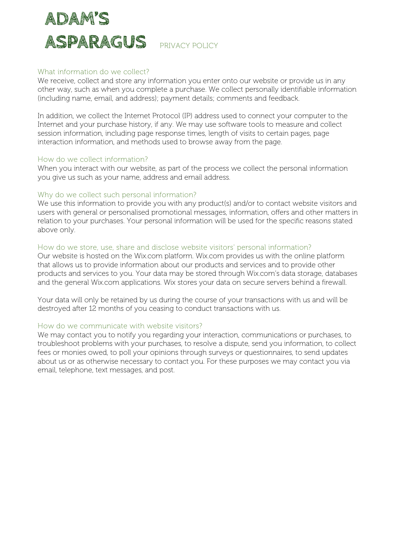

# What information do we collect?

We receive, collect and store any information you enter onto our website or provide us in any other way, such as when you complete a purchase. We collect personally identifiable information (including name, email, and address); payment details; comments and feedback.

In addition, we collect the Internet Protocol (IP) address used to connect your computer to the Internet and your purchase history, if any. We may use software tools to measure and collect session information, including page response times, length of visits to certain pages, page interaction information, and methods used to browse away from the page.

## How do we collect information?

When you interact with our website, as part of the process we collect the personal information you give us such as your name, address and email address.

## Why do we collect such personal information?

We use this information to provide you with any product(s) and/or to contact website visitors and users with general or personalised promotional messages, information, offers and other matters in relation to your purchases. Your personal information will be used for the specific reasons stated above only.

#### How do we store, use, share and disclose website visitors' personal information?

Our website is hosted on the Wix.com platform. Wix.com provides us with the online platform that allows us to provide information about our products and services and to provide other products and services to you. Your data may be stored through Wix.com's data storage, databases and the general Wix.com applications. Wix stores your data on secure servers behind a firewall.

Your data will only be retained by us during the course of your transactions with us and will be destroyed after 12 months of you ceasing to conduct transactions with us.

#### How do we communicate with website visitors?

We may contact you to notify you regarding your interaction, communications or purchases, to troubleshoot problems with your purchases, to resolve a dispute, send you information, to collect fees or monies owed, to poll your opinions through surveys or questionnaires, to send updates about us or as otherwise necessary to contact you. For these purposes we may contact you via email, telephone, text messages, and post.